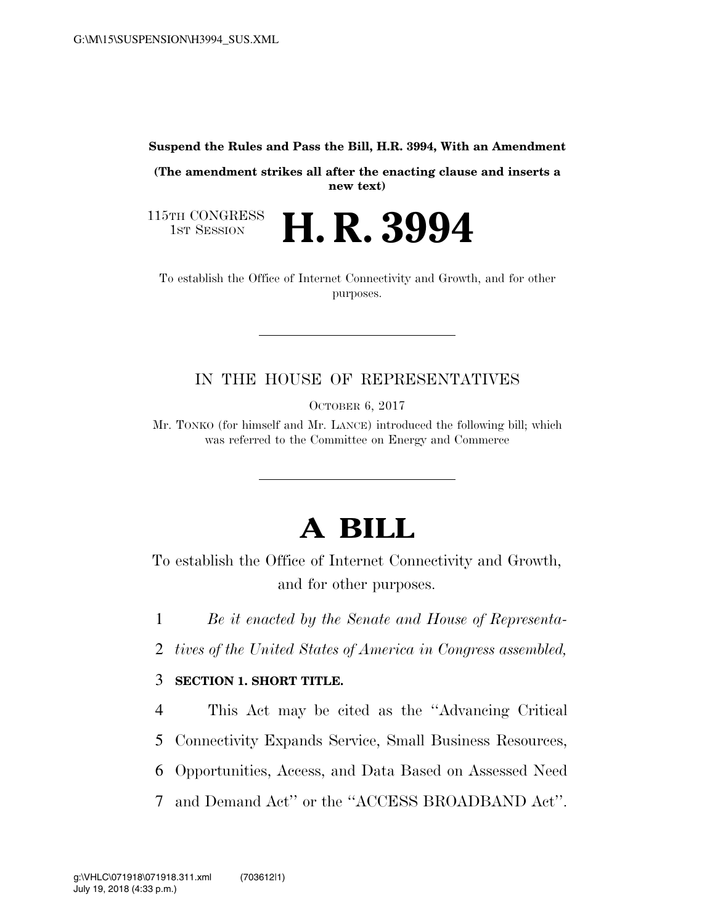#### **Suspend the Rules and Pass the Bill, H.R. 3994, With an Amendment**

**(The amendment strikes all after the enacting clause and inserts a new text)** 

H. R. 3994

115TH CONGRESS<br>1st Session

To establish the Office of Internet Connectivity and Growth, and for other purposes.

# IN THE HOUSE OF REPRESENTATIVES

OCTOBER 6, 2017

Mr. TONKO (for himself and Mr. LANCE) introduced the following bill; which was referred to the Committee on Energy and Commerce

# **A BILL**

To establish the Office of Internet Connectivity and Growth, and for other purposes.

1 *Be it enacted by the Senate and House of Representa-*

2 *tives of the United States of America in Congress assembled,* 

### 3 **SECTION 1. SHORT TITLE.**

4 This Act may be cited as the ''Advancing Critical

5 Connectivity Expands Service, Small Business Resources,

6 Opportunities, Access, and Data Based on Assessed Need

7 and Demand Act'' or the ''ACCESS BROADBAND Act''.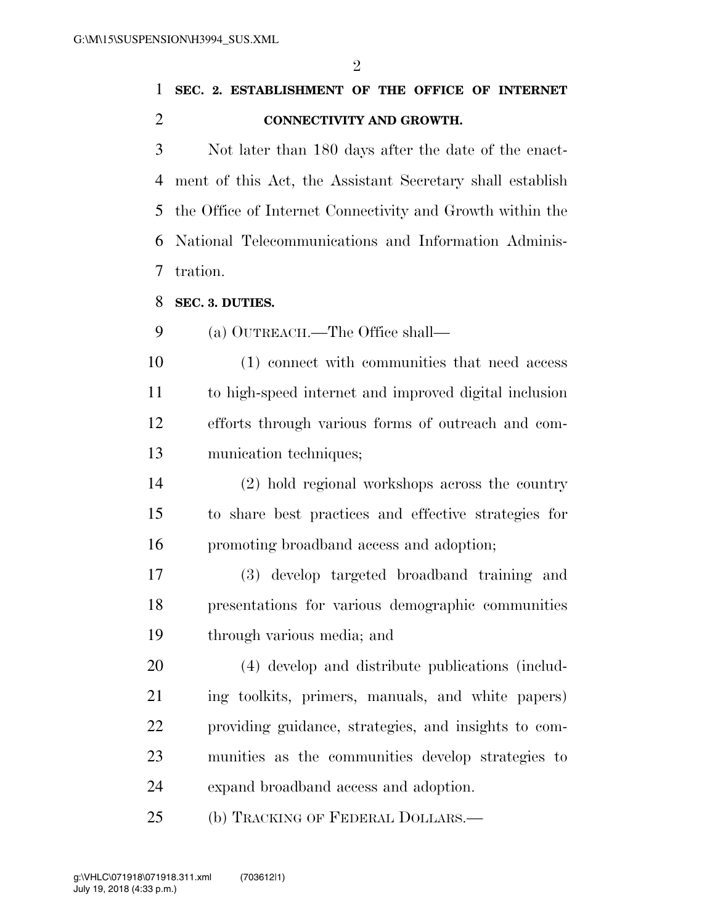|                |                          |  | 1 SEC. 2. ESTABLISHMENT OF THE OFFICE OF INTERNET |  |  |  |  |  |
|----------------|--------------------------|--|---------------------------------------------------|--|--|--|--|--|
| $\overline{2}$ | CONNECTIVITY AND GROWTH. |  |                                                   |  |  |  |  |  |

 Not later than 180 days after the date of the enact- ment of this Act, the Assistant Secretary shall establish the Office of Internet Connectivity and Growth within the National Telecommunications and Information Adminis-tration.

**SEC. 3. DUTIES.** 

(a) OUTREACH.—The Office shall—

 (1) connect with communities that need access to high-speed internet and improved digital inclusion efforts through various forms of outreach and com-munication techniques;

 (2) hold regional workshops across the country to share best practices and effective strategies for promoting broadband access and adoption;

 (3) develop targeted broadband training and presentations for various demographic communities through various media; and

 (4) develop and distribute publications (includ- ing toolkits, primers, manuals, and white papers) providing guidance, strategies, and insights to com- munities as the communities develop strategies to expand broadband access and adoption.

(b) TRACKING OF FEDERAL DOLLARS.—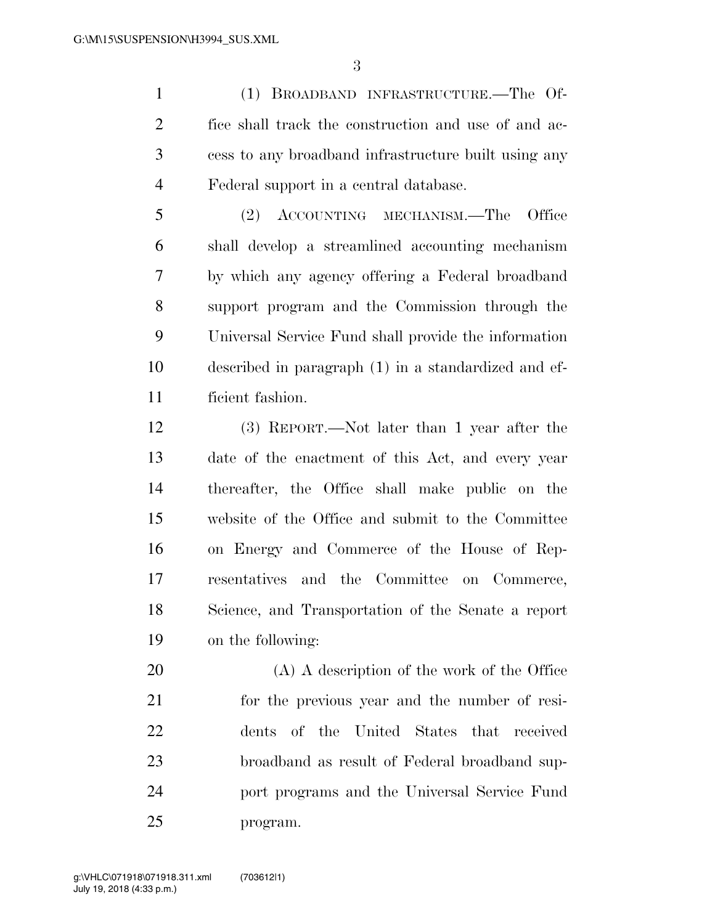(1) BROADBAND INFRASTRUCTURE.—The Of- fice shall track the construction and use of and ac- cess to any broadband infrastructure built using any Federal support in a central database.

 (2) ACCOUNTING MECHANISM.—The Office shall develop a streamlined accounting mechanism by which any agency offering a Federal broadband support program and the Commission through the Universal Service Fund shall provide the information described in paragraph (1) in a standardized and ef-ficient fashion.

 (3) REPORT.—Not later than 1 year after the date of the enactment of this Act, and every year thereafter, the Office shall make public on the website of the Office and submit to the Committee on Energy and Commerce of the House of Rep- resentatives and the Committee on Commerce, Science, and Transportation of the Senate a report on the following:

 (A) A description of the work of the Office for the previous year and the number of resi- dents of the United States that received broadband as result of Federal broadband sup- port programs and the Universal Service Fund program.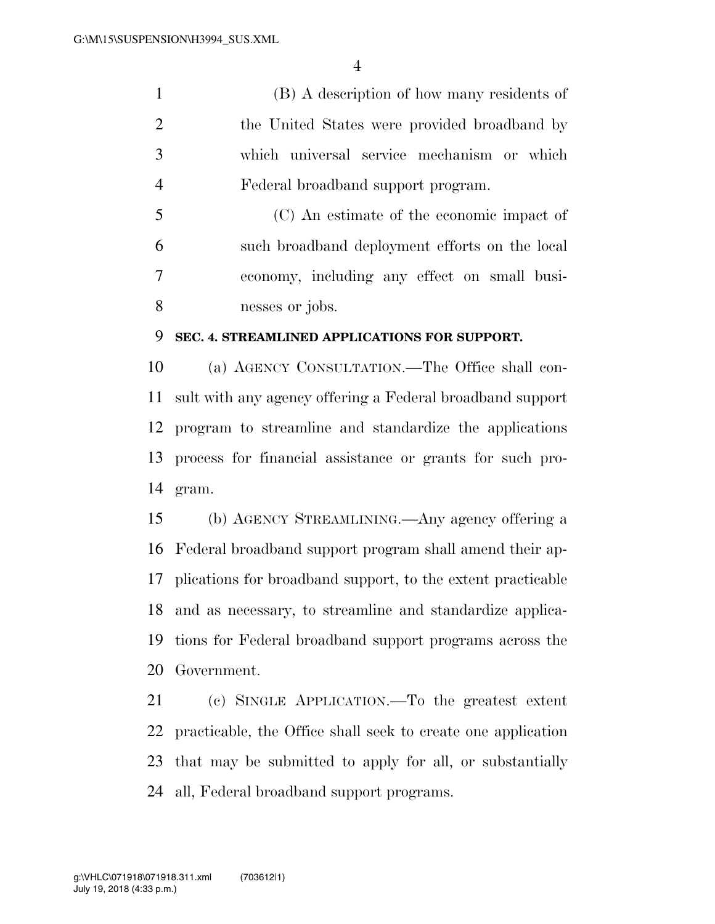(B) A description of how many residents of the United States were provided broadband by which universal service mechanism or which Federal broadband support program.

 (C) An estimate of the economic impact of such broadband deployment efforts on the local economy, including any effect on small busi-nesses or jobs.

#### **SEC. 4. STREAMLINED APPLICATIONS FOR SUPPORT.**

 (a) AGENCY CONSULTATION.—The Office shall con- sult with any agency offering a Federal broadband support program to streamline and standardize the applications process for financial assistance or grants for such pro-gram.

 (b) AGENCY STREAMLINING.—Any agency offering a Federal broadband support program shall amend their ap- plications for broadband support, to the extent practicable and as necessary, to streamline and standardize applica- tions for Federal broadband support programs across the Government.

 (c) SINGLE APPLICATION.—To the greatest extent practicable, the Office shall seek to create one application that may be submitted to apply for all, or substantially all, Federal broadband support programs.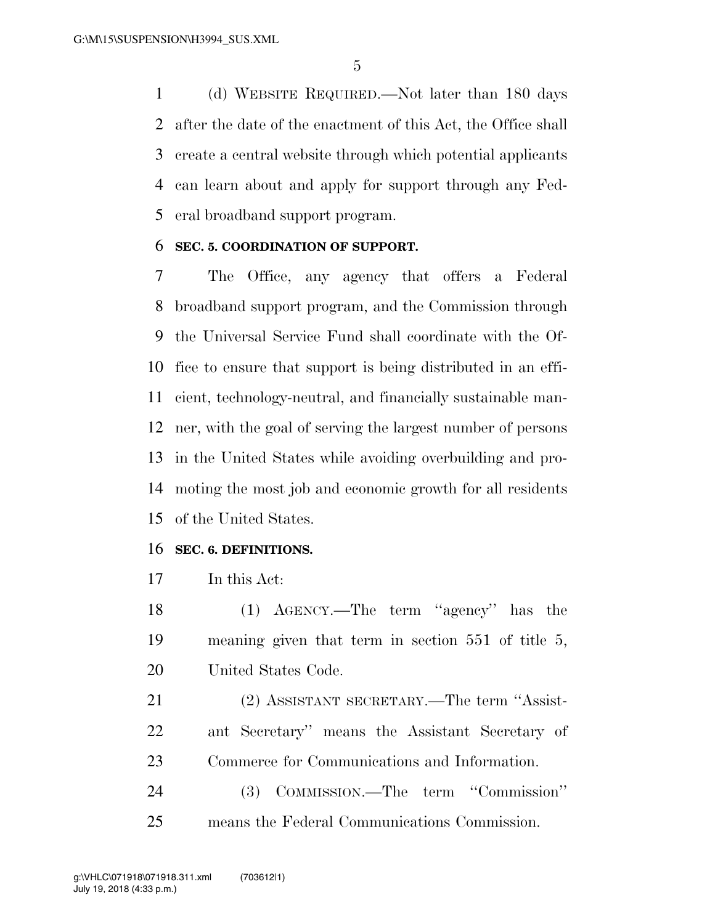(d) WEBSITE REQUIRED.—Not later than 180 days after the date of the enactment of this Act, the Office shall create a central website through which potential applicants can learn about and apply for support through any Fed-eral broadband support program.

#### **SEC. 5. COORDINATION OF SUPPORT.**

 The Office, any agency that offers a Federal broadband support program, and the Commission through the Universal Service Fund shall coordinate with the Of- fice to ensure that support is being distributed in an effi- cient, technology-neutral, and financially sustainable man- ner, with the goal of serving the largest number of persons in the United States while avoiding overbuilding and pro- moting the most job and economic growth for all residents of the United States.

#### **SEC. 6. DEFINITIONS.**

In this Act:

 (1) AGENCY.—The term ''agency'' has the meaning given that term in section 551 of title 5, United States Code.

 (2) ASSISTANT SECRETARY.—The term ''Assist- ant Secretary'' means the Assistant Secretary of Commerce for Communications and Information.

 (3) COMMISSION.—The term ''Commission'' means the Federal Communications Commission.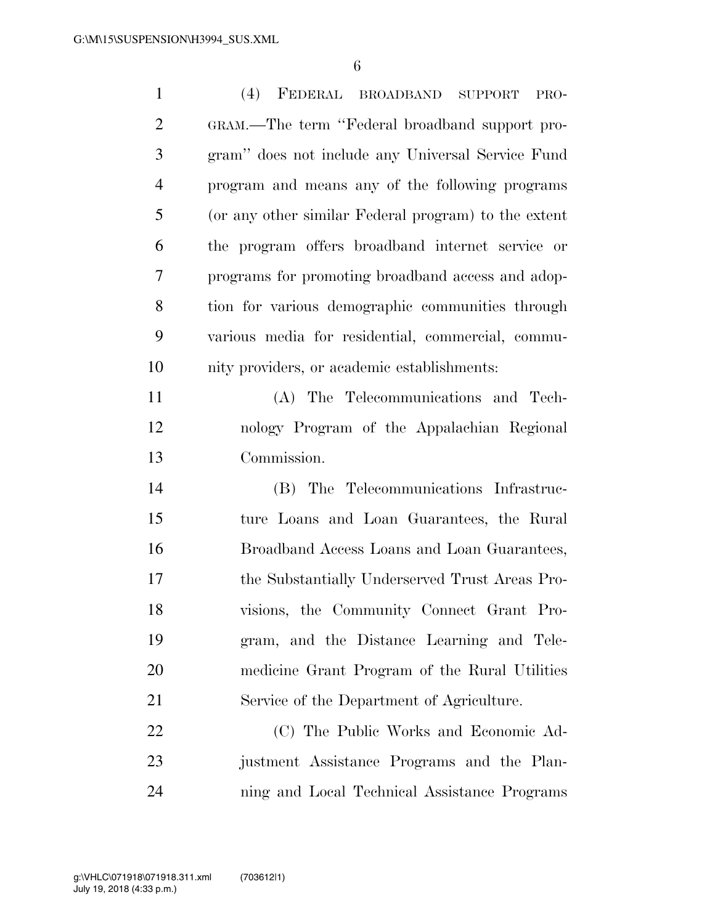| $\mathbf{1}$   | (4) FEDERAL BROADBAND<br><b>SUPPORT</b><br>PRO-      |
|----------------|------------------------------------------------------|
| $\overline{2}$ | GRAM.—The term "Federal broadband support pro-       |
| 3              | gram" does not include any Universal Service Fund    |
| $\overline{4}$ | program and means any of the following programs      |
| 5              | (or any other similar Federal program) to the extent |
| 6              | the program offers broadband internet service or     |
| 7              | programs for promoting broadband access and adop-    |
| 8              | tion for various demographic communities through     |
| 9              | various media for residential, commercial, commu-    |
| 10             | nity providers, or academic establishments:          |
| 11             | (A) The Telecommunications and Tech-                 |
| 12             | nology Program of the Appalachian Regional           |
| 13             | Commission.                                          |
| 14             | (B) The Telecommunications Infrastruc-               |
| 15             | ture Loans and Loan Guarantees, the Rural            |
| 16             | Broadband Access Loans and Loan Guarantees,          |
| 17             | the Substantially Underserved Trust Areas Pro-       |
| 18             | visions, the Community Connect Grant Pro-            |
| 19             | gram, and the Distance Learning and Tele-            |
| 20             | medicine Grant Program of the Rural Utilities        |
| 21             | Service of the Department of Agriculture.            |
| 22             | (C) The Public Works and Economic Ad-                |
| 23             | justment Assistance Programs and the Plan-           |
| 24             | ning and Local Technical Assistance Programs         |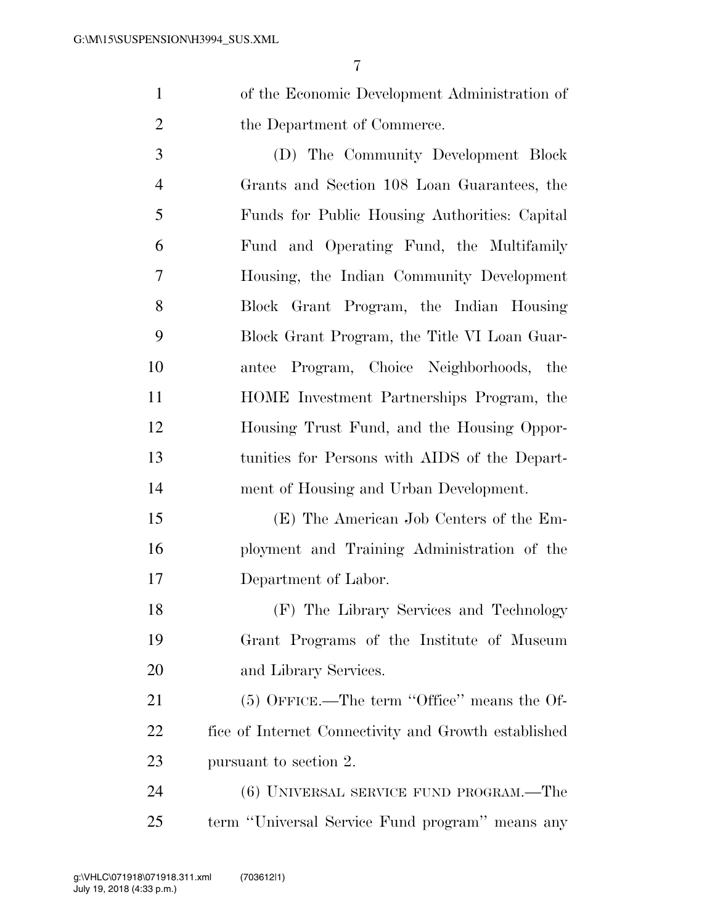of the Economic Development Administration of 2 the Department of Commerce.

 (D) The Community Development Block Grants and Section 108 Loan Guarantees, the Funds for Public Housing Authorities: Capital Fund and Operating Fund, the Multifamily Housing, the Indian Community Development Block Grant Program, the Indian Housing Block Grant Program, the Title VI Loan Guar- antee Program, Choice Neighborhoods, the HOME Investment Partnerships Program, the Housing Trust Fund, and the Housing Oppor- tunities for Persons with AIDS of the Depart-ment of Housing and Urban Development.

 (E) The American Job Centers of the Em- ployment and Training Administration of the Department of Labor.

 (F) The Library Services and Technology Grant Programs of the Institute of Museum and Library Services.

21 (5) OFFICE.—The term "Office" means the Of- fice of Internet Connectivity and Growth established pursuant to section 2.

 (6) UNIVERSAL SERVICE FUND PROGRAM.—The term ''Universal Service Fund program'' means any